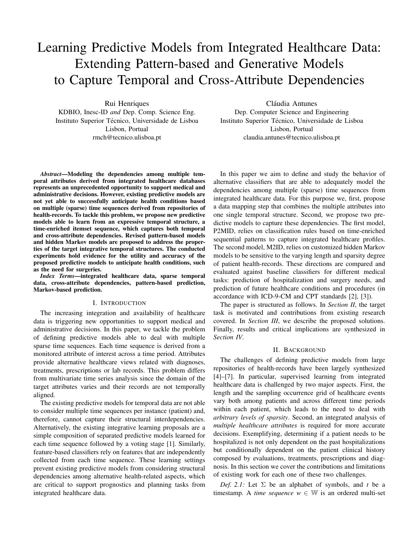# Learning Predictive Models from Integrated Healthcare Data: Extending Pattern-based and Generative Models to Capture Temporal and Cross-Attribute Dependencies

Rui Henriques KDBIO, Inesc-ID *and* Dep. Comp. Science Eng. Instituto Superior Técnico, Universidade de Lisboa Lisbon, Portual rmch@tecnico.ulisboa.pt

*Abstract*—Modeling the dependencies among multiple temporal attributes derived from integrated healthcare databases represents an unprecedented opportunity to support medical and administrative decisions. However, existing predictive models are not yet able to successfully anticipate health conditions based on multiple (sparse) time sequences derived from repositories of health-records. To tackle this problem, we propose new predictive models able to learn from an expressive temporal structure, a time-enriched itemset sequence, which captures both temporal and cross-attribute dependencies. Revised pattern-based models and hidden Markov models are proposed to address the properties of the target integrative temporal structures. The conducted experiments hold evidence for the utility and accuracy of the proposed predictive models to anticipate health conditions, such as the need for surgeries.

*Index Terms*—integrated healthcare data, sparse temporal data, cross-attribute dependencies, pattern-based prediction, Markov-based prediction.

#### I. INTRODUCTION

The increasing integration and availability of healthcare data is triggering new opportunities to support medical and administrative decisions. In this paper, we tackle the problem of defining predictive models able to deal with multiple sparse time sequences. Each time sequence is derived from a monitored attribute of interest across a time period. Attributes provide alternative healthcare views related with diagnoses, treatments, prescriptions or lab records. This problem differs from multivariate time series analysis since the domain of the target attributes varies and their records are not temporally aligned.

The existing predictive models for temporal data are not able to consider multiple time sequences per instance (patient) and, therefore, cannot capture their structural interdependencies. Alternatively, the existing integrative learning proposals are a simple composition of separated predictive models learned for each time sequence followed by a voting stage [1]. Similarly, feature-based classifiers rely on features that are independently collected from each time sequence. These learning settings prevent existing predictive models from considering structural dependencies among alternative health-related aspects, which are critical to support prognostics and planning tasks from integrated healthcare data.

Cláudia Antunes

Dep. Computer Science and Engineering Instituto Superior Técnico, Universidade de Lisboa Lisbon, Portual claudia.antunes@tecnico.ulisboa.pt

In this paper we aim to define and study the behavior of alternative classifiers that are able to adequately model the dependencies among multiple (sparse) time sequences from integrated healthcare data. For this purpose we, first, propose a data mapping step that combines the multiple attributes into one single temporal structure. Second, we propose two predictive models to capture these dependencies. The first model, P2MID, relies on classification rules based on time-enriched sequential patterns to capture integrated healthcare profiles. The second model, M2ID, relies on customized hidden Markov models to be sensitive to the varying length and sparsity degree of patient health-records. These directions are compared and evaluated against baseline classifiers for different medical tasks: prediction of hospitalization and surgery needs, and prediction of future healthcare conditions and procedures (in accordance with ICD-9-CM and CPT standards [2], [3]).

The paper is structured as follows. In *Section II*, the target task is motivated and contributions from existing research covered. In *Section III*, we describe the proposed solutions. Finally, results and critical implications are synthesized in *Section IV*.

# II. BACKGROUND

The challenges of defining predictive models from large repositories of health-records have been largely synthesized [4]–[7]. In particular, supervised learning from integrated healthcare data is challenged by two major aspects. First, the length and the sampling occurrence grid of healthcare events vary both among patients and across different time periods within each patient, which leads to the need to deal with *arbitrary levels of sparsity*. Second, an integrated analysis of *multiple healthcare attributes* is required for more accurate decisions. Exemplifying, determining if a patient needs to be hospitalized is not only dependent on the past hospitalizations but conditionally dependent on the patient clinical history composed by evaluations, treatments, prescriptions and diagnosis. In this section we cover the contributions and limitations of existing work for each one of these two challenges.

*Def.* 2.1: Let  $\Sigma$  be an alphabet of symbols, and *t* be a timestamp. A *time sequence*  $w \in \mathbb{W}$  is an ordered multi-set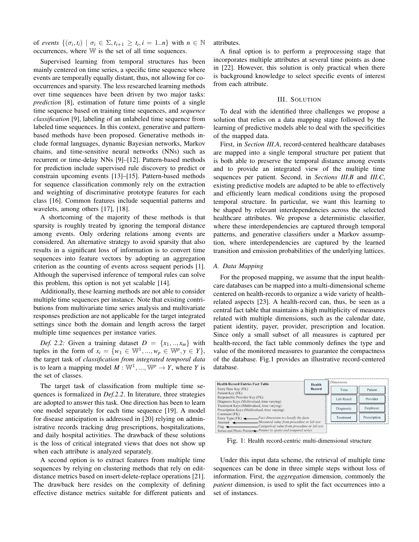of *events*  $\{(\sigma_i, t_i) \mid \sigma_i \in \Sigma, t_{i+1} \geq t_i, i = 1..n\}$  with  $n \in \mathbb{N}$ occurrences, where W is the set of all time sequences.

Supervised learning from temporal structures has been mainly centered on time series, a specific time sequence where events are temporally equally distant, thus, not allowing for cooccurrences and sparsity. The less researched learning methods over time sequences have been driven by two major tasks: *prediction* [8], estimation of future time points of a single time sequence based on training time sequences, and *sequence classification* [9], labeling of an unlabeled time sequence from labeled time sequences. In this context, generative and patternbased methods have been proposed. Generative methods include formal languages, dynamic Bayesian networks, Markov chains, and time-sensitive neural networks (NNs) such as recurrent or time-delay NNs [9]–[12]. Pattern-based methods for prediction include supervised rule discovery to predict or constrain upcoming events [13]–[15]. Pattern-based methods for sequence classification commonly rely on the extraction and weighting of discriminative prototype features for each class [16]. Common features include sequential patterns and wavelets, among others [17], [18].

A shortcoming of the majority of these methods is that sparsity is roughly treated by ignoring the temporal distance among events. Only ordering relations among events are considered. An alternative strategy to avoid sparsity that also results in a significant loss of information is to convert time sequences into feature vectors by adopting an aggregation criterion as the counting of events across sequent periods [1]. Although the supervised inference of temporal rules can solve this problem, this option is not yet scalable [14].

Additionally, these learning methods are not able to consider multiple time sequences per instance. Note that existing contributions from multivariate time series analysis and multivariate responses prediction are not applicable for the target integrated settings since both the domain and length across the target multiple time sequences per instance varies.

*Def.* 2.2: Given a training dataset  $D = \{x_1, \ldots, x_m\}$  with tuples in the form of  $x_i = \{w_1 \in \mathbb{W}^1, ..., w_p \in \mathbb{W}^p, y \in Y\},\$ the target task of *classification from integrated temporal data* is to learn a mapping model  $M : \mathbb{W}^1, ..., \mathbb{W}^p \to Y$ , where *Y* is the set of classes.

The target task of classification from multiple time sequences is formalized in *Def.2.2*. In literature, three strategies are adopted to answer this task. One direction has been to learn one model separately for each time sequence [19]. A model for disease anticipation is addressed in [20] relying on administrative records tracking drug prescriptions, hospitalizations, and daily hospital activities. The drawback of these solutions is the loss of critical integrated views that does not show up when each attribute is analyzed separately.

A second option is to extract features from multiple time sequences by relying on clustering methods that rely on editdistance metrics based on insert-delete-replace operations [21]. The drawback here resides on the complexity of defining effective distance metrics suitable for different patients and attributes.

A final option is to perform a preprocessing stage that incorporates multiple attributes at several time points as done in [22]. However, this solution is only practical when there is background knowledge to select specific events of interest from each attribute.

# III. SOLUTION

To deal with the identified three challenges we propose a solution that relies on a data mapping stage followed by the learning of predictive models able to deal with the specificities of the mapped data.

First, in *Section III.A*, record-centered healthcare databases are mapped into a single temporal structure per patient that is both able to preserve the temporal distance among events and to provide an integrated view of the multiple time sequences per patient. Second, in *Sections III.B* and *III.C*, existing predictive models are adapted to be able to effectively and efficiently learn medical conditions using the proposed temporal structure. In particular, we want this learning to be shaped by relevant interdependencies across the selected healthcare attributes. We propose a deterministic classifier, where these interdependencies are captured through temporal patterns, and generative classifiers under a Markov assumption, where interdependencies are captured by the learned transition and emission probabilities of the underlying lattices.

### *A. Data Mapping*

For the proposed mapping, we assume that the input healthcare databases can be mapped into a multi-dimensional scheme centered on health-records to organize a wide variety of healthrelated aspects [23]. A health-record can, thus, be seen as a central fact table that maintains a high multiplicity of measures related with multiple dimensions, such as the calendar date, patient identity, payer, provider, prescription and location. Since only a small subset of all measures is captured per health-record, the fact table commonly defines the type and value of the monitored measures to guarantee the compactness of the database. Fig.1 provides an illustrative record-centered database.

| <b>Health Record Entries Fact Table</b>                                                                                                                                                                                                                                                                                                                          | Health | <b>Dimensions</b> |  |              |
|------------------------------------------------------------------------------------------------------------------------------------------------------------------------------------------------------------------------------------------------------------------------------------------------------------------------------------------------------------------|--------|-------------------|--|--------------|
| Entry Date Key (FK)                                                                                                                                                                                                                                                                                                                                              | Record | Time              |  | Patient      |
| Patient Key (FK)<br>Responsible Provider Key (FK)<br>Diagnosis Keys (Multivalued, time varying)<br>Treatment Keys (Multivalued, time varying)<br>Prescription Keys (Multivalued, time varying)<br>Comment (FK)<br>Fact dimension to classify the facts<br>Entry Type $(FK)$ $\rightarrow$<br>Measured value from procedure or lab test<br>Amount $\triangleleft$ |        | Lab Result        |  | Provider     |
|                                                                                                                                                                                                                                                                                                                                                                  |        | Diagnostic        |  | Employee     |
|                                                                                                                                                                                                                                                                                                                                                                  |        | Treatment         |  | Prescription |
| Categorical value from procedure or lab test<br>$Flag \triangleleft$<br>Series and Photo Pointer-Pointer to spatio and temporal series                                                                                                                                                                                                                           |        |                   |  |              |

Fig. 1: Health record-centric multi-dimensional structure

Under this input data scheme, the retrieval of multiple time sequences can be done in three simple steps without loss of information. First, the *aggregation* dimension, commonly the *patient* dimension, is used to split the fact occurrences into a set of instances.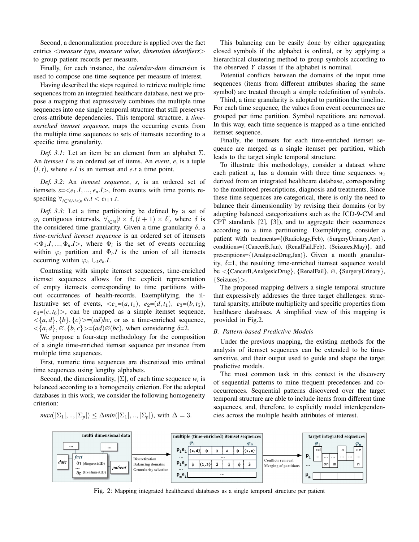Second, a denormalization procedure is applied over the fact entries <*measure type, measure value, dimension identifiers*> to group patient records per measure.

Finally, for each instance, the *calendar-date* dimension is used to compose one time sequence per measure of interest.

Having described the steps required to retrieve multiple time sequences from an integrated healthcare database, next we propose a mapping that expressively combines the multiple time sequences into one single temporal structure that still preserves cross-attribute dependencies. This temporal structure, a *timeenriched itemset sequence*, maps the occurring events from the multiple time sequences to sets of itemsets according to a specific time granularity.

*Def. 3.1:* Let an item be an element from an alphabet Σ. An *itemset I* is an ordered set of items. An *event*, *e*, is a tuple  $(I, t)$ , where *e.I* is an itemset and *e.t* a time point.

*Def. 3.2:* An *itemset sequence*, *s*, is an ordered set of itemsets  $s = \langle e_1, I, \dots, e_n, I \rangle$ , from events with time points respecting  $\forall_{i \in \mathbb{N} \land i < n} e_i.t < e_{i+1}.t$ .

*Def. 3.3:* Let a time partitioning be defined by a set of  $\varphi_i$  contiguous intervals,  $\forall_{i \in \mathbb{N}} [i \times \delta, (i+1) \times \delta],$  where  $\delta$  is the considered time granularity. Given a time granularity  $\delta$ , a *time-enriched itemset sequence* is an ordered set of itemsets  $\langle \Phi_1, I, ..., \Phi_n, I \rangle$ , where  $\Phi_i$  is the set of events occurring within  $\varphi_i$  partition and  $\Phi_i$ .*I* is the union of all itemsets occurring within  $\varphi_i$ ,  $\cup_k e_k$ .*I*.

Contrasting with simple itemset sequences, time-enriched itemset sequences allows for the explicit representation of empty itemsets corresponding to time partitions without occurrences of health-records. Exemplifying, the illustrative set of events,  $\langle e_1=(a, t_1), e_2=(d, t_1), e_3=(b, t_5),$  $e_4=(c, t_6)$ , can be mapped as a simple itemset sequence,  $\langle \{a, d\}, \{b\}, \{c\} \rangle = (ad)bc$ , or as a time-enriched sequence,  $\langle \{a, d\}, \emptyset, \{b, c\} \rangle = (ad) \emptyset (bc)$ , when considering  $\delta = 2$ .

We propose a four-step methodology for the composition of a single time-enriched itemset sequence per instance from multiple time sequences.

First, numeric time sequences are discretized into ordinal time sequences using lengthy alphabets.

Second, the dimensionality,  $|\Sigma|$ , of each time sequence  $w_i$  is balanced according to a homogeneity criterion. For the adopted databases in this work, we consider the following homogeneity criterion:

 $max(|\Sigma_1|, \ldots, |\Sigma_p|) \leq \Delta min(|\Sigma_1|, \ldots, |\Sigma_p|)$ , with  $\Delta = 3$ .

This balancing can be easily done by either aggregating closed symbols if the alphabet is ordinal, or by applying a hierarchical clustering method to group symbols according to the observed *Y* classes if the alphabet is nominal.

Potential conflicts between the domains of the input time sequences (items from different attributes sharing the same symbol) are treated through a simple redefinition of symbols.

Third, a time granularity is adopted to partition the timeline. For each time sequence, the values from event occurrences are grouped per time partition. Symbol repetitions are removed. In this way, each time sequence is mapped as a time-enriched itemset sequence.

Finally, the itemsets for each time-enriched itemset sequence are merged as a single itemset per partition, which leads to the target single temporal structure.

To illustrate this methodology, consider a dataset where each patient  $x_i$  has a domain with three time sequences  $w_i$ derived from an integrated healthcare database, corresponding to the monitored prescriptions, diagnosis and treatments. Since these time sequences are categorical, there is only the need to balance their dimensionality by revising their domains (or by adopting balanced categorizations such as the ICD-9-CM and CPT standards [2], [3]), and to aggregate their occurrences according to a time partitioning. Exemplifying, consider a patient with treatments={(Radiology,Feb), (SurgeryUrinary,Apr)}, conditions={(CancerB,Jan), (RenalFail,Feb), (Seizures,May)}, and prescriptions={(AnalgesicDrug,Jan)}. Given a month granularity,  $\delta = 1$ , the resulting time-enriched itemset sequence would be <{CancerB,AnalgesicDrug}, {RenalFail}, ∅, {SurgeryUrinary}, {Seizures}>.

The proposed mapping delivers a single temporal structure that expressively addresses the three target challenges: structural sparsity, attribute multiplicity and specific properties from healthcare databases. A simplified view of this mapping is provided in Fig.2.

# *B. Pattern-based Predictive Models*

Under the previous mapping, the existing methods for the analysis of itemset sequences can be extended to be timesensitive, and their output used to guide and shape the target predictive models.

The most common task in this context is the discovery of sequential patterns to mine frequent precedences and cooccurrences. Sequential patterns discovered over the target temporal structure are able to include items from different time sequences, and, therefore, to explicitly model interdependencies across the multiple health attributes of interest.



Fig. 2: Mapping integrated healthcared databases as a single temporal structure per patient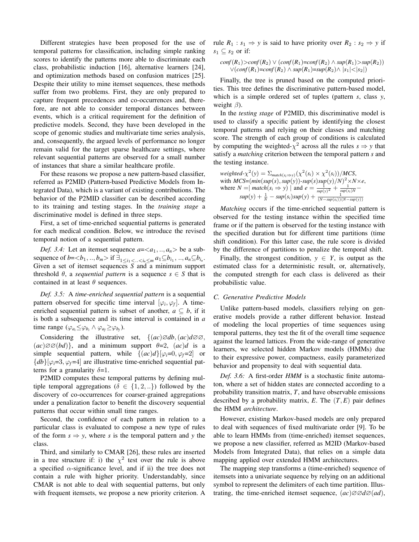Different strategies have been proposed for the use of temporal patterns for classification, including simple ranking scores to identify the patterns more able to discriminate each class, probabilistic induction [16], alternative learners [24], and optimization methods based on confusion matrices [25]. Despite their utility to mine itemset sequences, these methods suffer from two problems. First, they are only prepared to capture frequent precedences and co-occurrences and, therefore, are not able to consider temporal distances between events, which is a critical requirement for the definition of predictive models. Second, they have been developed in the scope of genomic studies and multivariate time series analysis, and, consequently, the argued levels of performance no longer remain valid for the target sparse healthcare settings, where relevant sequential patterns are observed for a small number of instances that share a similar healthcare profile.

For these reasons we propose a new pattern-based classifier, referred as P2MID (Pattern-based Predictive Models from Integrated Data), which is a variant of existing contributions. The behavior of the P2MID classifier can be described according to its training and testing stages. In the *training stage* a discriminative model is defined in three steps.

First, a set of time-enriched sequential patterns is generated for each medical condition. Below, we introduce the revised temporal notion of a sequential pattern.

*Def.* 3.4: Let an itemset sequence  $a = \langle a_1, \dots, a_n \rangle$  be a subsequence of *b*= $\langle b_1, ..., b_m \rangle$  if  $\exists_{1 \le i_1 < ... < i_n \le m} a_1 \subseteq b_{i_1}, ..., a_n \subseteq b_{i_n}$ . Given a set of itemset sequences *S* and a minimum support threshold  $\theta$ , a *sequential pattern* is a sequence  $s \in S$  that is contained in at least  $\theta$  sequences.

*Def. 3.5:* A *time-enriched sequential pattern* is a sequential pattern observed for specific time interval  $[\varphi_i, \varphi_j]$ . A timeenriched sequential pattern is subset of another,  $a \subseteq b$ , if it is both a subsequence and its time interval is contained in *a* time range  $(\varphi_{a_i} \leq \varphi_{b_i} \land \varphi_{a_f} \geq \varphi_{b_f})$ .

Considering the illustrative set,  $\{(ac)\emptyset db, (ac)d\emptyset\emptyset,$  $(ac)ØØ(bd)$ , and a minimum support  $\theta=2$ ,  $(ac)d$  is a simple sequential pattern, while  $\{(ac)d\}[\varphi_i=0, \varphi_f=2]$  or  ${db}$ [ $\varphi_i = 3$ ,  $\varphi_f = 4$ ] are illustrative time-enriched sequential patterns for a granularity  $\delta = 1$ .

P2MID computes these temporal patterns by defining multiple temporal aggregations ( $\delta \in \{1, 2, ...\}$ ) followed by the discovery of co-occurrences for coarser-grained aggregations under a penalization factor to benefit the discovery sequential patterns that occur within small time ranges.

Second, the confidence of each pattern in relation to a particular class is evaluated to compose a new type of rules of the form  $s \Rightarrow y$ , where *s* is the temporal pattern and *y* the class.

Third, and similarly to CMAR [26], these rules are inserted in a tree structure if: i) the  $\chi^2$  test over the rule is above a specified  $\alpha$ -significance level, and if ii) the tree does not contain a rule with higher priority. Understandably, since CMAR is not able to deal with sequential patterns, but only with frequent itemsets, we propose a new priority criterion. A rule  $R_1$ :  $s_1 \Rightarrow y$  is said to have priority over  $R_2$ :  $s_2 \Rightarrow y$  if  $s_1 \subseteq s_2$  or if:

$$
conf(R_1) > conf(R_2) \vee (conf(R_1) = conf(R_2) \wedge sup(R_1) > sup(R_2))
$$
  
 
$$
\vee (conf(R_1) = conf(R_2) \wedge sup(R_1) = sup(R_2) \wedge |s_1| < |s_2|)
$$

Finally, the tree is pruned based on the computed priorities. This tree defines the discriminative pattern-based model, which is a simple ordered set of tuples (pattern *s*, class *y*, weight  $\beta$ ).

In the *testing stage* of P2MID, this discriminative model is used to classify a specific patient by identifying the closest temporal patterns and relying on their classes and matching score. The strength of each group of conditions is calculated by computing the weighted- $\chi^2$  across all the rules  $s \Rightarrow y$  that satisfy a *matching* criterion between the temporal pattern *s* and the testing instance.

*weighted*-
$$
\chi^2(y)
$$
 =  $\sum_{match(s_i \Rightarrow y)} (\chi^2(s_i) \times \chi^2(s_i)) / MCS$ , with *MCS*=*(min(sup(s), sup(y))*-*sup(s) sup(y)/N*)<sup>2</sup>×*N*×*e*, where *N* =| *match(s<sub>i</sub> \Rightarrow y)* | and *e* =  $\frac{1}{sup(y)^2} + \frac{1}{sup(s_i)N} - sup(y) + \frac{1}{N} - sup(s_i) sup(y) + \frac{1}{(N - sup(s_i)) (N - sup(y))}$ 

*Matching* occurs if the time-enriched sequential pattern is observed for the testing instance within the specified time frame or if the pattern is observed for the testing instance with the specified duration but for different time partitions (time shift condition). For this latter case, the rule score is divided by the difference of partitions to penalize the temporal shift.

Finally, the strongest condition,  $y \in Y$ , is output as the estimated class for a deterministic result, or, alternatively, the computed strength for each class is delivered as their probabilistic value.

# *C. Generative Predictive Models*

Unlike pattern-based models, classifiers relying on generative models provide a rather different behavior. Instead of modeling the local properties of time sequences using temporal patterns, they test the fit of the overall time sequence against the learned lattices. From the wide-range of generative learners, we selected hidden Markov models (HMMs) due to their expressive power, compactness, easily parameterized behavior and propensity to deal with sequential data.

*Def. 3.6:* A first-order *HMM* is a stochastic finite automaton, where a set of hidden states are connected according to a probability transition matrix, *T*, and have observable emissions described by a probability matrix,  $E$ . The  $(T, E)$  pair defines the HMM *architecture*.

However, existing Markov-based models are only prepared to deal with sequences of fixed multivariate order [9]. To be able to learn HMMs from (time-enriched) itemset sequences, we propose a new classifier, referred as M2ID (Markov-based Models from Integrated Data), that relies on a simple data mapping applied over extended HMM architectures.

The mapping step transforms a (time-enriched) sequence of itemsets into a univariate sequence by relying on an additional symbol to represent the delimiters of each time partition. Illustrating, the time-enriched itemset sequence, (*ac*)∅∅*d*∅(*ad*),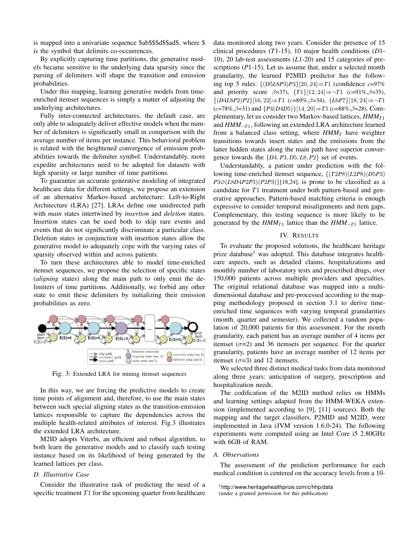is mapped into a univariate sequence \$ab\$\$\$d\$\$ad\$, where \$ is the symbol that delimits co-occurrences.

By explicitly capturing time partitions, the generative models became sensitive to the underlying data sparsity since the parsing of delimiters will shape the transition and emission probabilities.

Under this mapping, learning generative models from timeenriched itemset sequences is simply a matter of adjusting the underlying architectures.

Fully inter-connected architectures, the default case, are only able to adequately deliver effective models when the number of delimiters is significantly small in comparison with the average number of items per instance. This behavioral problem is related with the heightened convergence of emission probabilities towards the delimiter symbol. Understandably, more expedite architectures need to be adopted for datasets with high sparsity or large number of time partitions.

To guarantee an accurate generative modeling of integrated healthcare data for different settings, we propose an extension of an alternative Markov-based architecture: Left-to-Right Architecture (LRA) [27]. LRAs define one unidirected path with *main* states intertwined by *insertion* and *deletion* states. Insertion states can be used both to skip rare events and events that do not significantly discriminate a particular class. Deletion states in conjunction with insertion states allow the generative model to adequately cope with the varying rates of sparsity observed within and across patients.

To turn these architectures able to model time-enriched itemset sequences, we propose the selection of specific states (*aligning* states) along the main path to only emit the delimiters of time partitions. Additionally, we forbid any other state to emit these delimiters by initializing their emission probabilities as zero.



Fig. 3: Extended LRA for mining itemset sequences

In this way, we are forcing the predictive models to create time points of alignment and, therefore, to use the main states between such special aligning states as the transition-emission lattices responsible to capture the dependencies across the multiple health-related attributes of interest. Fig.3 illustrates the extended LRA architecture.

M2ID adopts Viterbi, an efficient and robust algorithm, to both learn the generative models and to classify each testing instance based on its likelihood of being generated by the learned lattices per class.

# *D. Illustrative Case*

Consider the illustrative task of predicting the need of a specific treatment *T*1 for the upcoming quarter from healthcare data monitored along two years. Consider the presence of 15 clinical procedures (*T*1-15), 10 major health conditions (*D*1- 10), 20 lab-test assessments (*L*1-20) and 15 categories of prescriptions (*P*1-15). Let us assume that, under a selected month granularity, the learned P2MID predictor has the following top 5 rules: {(*D*5*L*8*P*3)*P*3}[20, 24]⇒*T*1 (confidence *c*=97% and priority score  $\beta = 37$ ,  $\{T1\}$ [12, 24] $\Rightarrow$  -*T*1 (*c*=91%,  $\beta = 35$ ), {(*D*4*L*8*P*2)*P*2}[16, 22]⇒*T*1 (*c*=89%,β=34), {*L*6*P*7}[18, 24]⇒¬*T*1 (*c*=78%,β=31) and {*P*4(*D*4*D*5)}[14, 20]⇒*T*1 (*c*=88%,β=28). Complementary, let us consider two Markov-based lattices, *HMMT*<sup>1</sup> and  $HMM_{\neg T1}$ , following an extended LRA architecture learned from a balanced class setting, where *HMM<sup>T</sup>* have weighter transitions towards insert states and the emissions from the latter hidden states along the main path have superior convergence towards the {*D*4, *P*3, *D*5, *L*8, *P*2} set of events.

Understandably, a patient under prediction with the following time-enriched itemset sequence, {(*T*2*P*8)(*L*2*P*8)(*D*5*P*3) *P*3∅(*L*8*D*4*P*2*P*3)(*P*2*P*3)}[18,24], is prone to be classified as a candidate for *T*1 treatment under both pattern-based and generative approaches. Pattern-based matching criteria is enough expressive to consider temporal misalignments and item gaps. Complementary, this testing sequence is more likely to be generated by the  $HMM_{T1}$  lattice than the  $HMM_{-T1}$  lattice.

## IV. RESULTS

To evaluate the proposed solutions, the healthcare heritage prize database<sup>1</sup> was adopted. This database integrates healthcare aspects, such as detailed claims, hospitalizations and monthly number of laboratory tests and prescribed drugs, over 150,000 patients across multiple providers and specialties. The original relational database was mapped into a multidimensional database and pre-processed according to the mapping methodology proposed in section 3.1 to derive timeenriched time sequences with varying temporal granularities (month, quarter and semester). We collected a random population of 20,000 patients for this assessment. For the month granularity, each patient has an average number of 4 items per itemset ( $\sigma$ =2) and 36 itemsets per sequence. For the quarter granularity, patients have an average number of 12 items per itemset ( $\sigma$ =3) and 12 itemsets.

We selected three distinct medical tasks from data monitored along three years: anticipation of surgery, prescription and hospitalization needs.

The codification of the M2ID method relies on HMMs and learning settings adapted from the HMM-WEKA extension (implemented according to [9], [11] sources). Both the mapping and the target classifiers, P2MID and M2ID, were implemented in Java (JVM version 1.6.0-24). The following experiments were computed using an Intel Core i5 2.80GHz with 6GB of RAM.

## *A. Observations*

The assessment of the prediction performance for each medical condition is centered on the accuracy levels from a 10-

<sup>1</sup>http://www.heritagehealthprize.com/c/hhp/data (under a granted permission for this publication)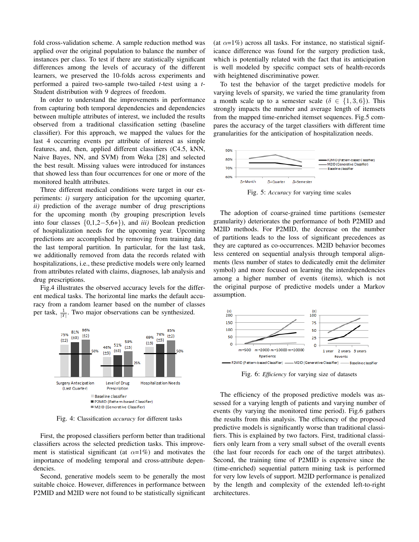fold cross-validation scheme. A sample reduction method was applied over the original population to balance the number of instances per class. To test if there are statistically significant differences among the levels of accuracy of the different learners, we preserved the 10-folds across experiments and performed a paired two-sample two-tailed *t*-test using a *t*-Student distribution with 9 degrees of freedom.

In order to understand the improvements in performance from capturing both temporal dependencies and dependencies between multiple attributes of interest, we included the results observed from a traditional classification setting (baseline classifier). For this approach, we mapped the values for the last 4 occurring events per attribute of interest as simple features, and, then, applied different classifiers (C4.5, kNN, Naive Bayes, NN, and SVM) from Weka [28] and selected the best result. Missing values were introduced for instances that showed less than four occurrences for one or more of the monitored health attributes.

Three different medical conditions were target in our experiments: *i)* surgery anticipation for the upcoming quarter, *ii)* prediction of the average number of drug prescriptions for the upcoming month (by grouping prescription levels into four classes {0,1,2−5,6+}), and *iii)* Boolean prediction of hospitalization needs for the upcoming year. Upcoming predictions are accomplished by removing from training data the last temporal partition. In particular, for the last task, we additionally removed from data the records related with hospitalizations, i.e., these predictive models were only learned from attributes related with claims, diagnoses, lab analysis and drug prescriptions.

Fig.4 illustrates the observed accuracy levels for the different medical tasks. The horizontal line marks the default accuracy from a random learner based on the number of classes per task,  $\frac{1}{|Y|}$ . Two major observations can be synthesized.



Fig. 4: Classification *accuracy* for different tasks

First, the proposed classifiers perform better than traditional classifiers across the selected prediction tasks. This improvement is statistical significant (at  $\alpha=1\%$ ) and motivates the importance of modeling temporal and cross-attribute dependencies.

Second, generative models seem to be generally the most suitable choice. However, differences in performance between P2MID and M2ID were not found to be statistically significant

(at  $\alpha$ =1%) across all tasks. For instance, no statistical significance difference was found for the surgery prediction task, which is potentially related with the fact that its anticipation is well modeled by specific compact sets of health-records with heightened discriminative power.

To test the behavior of the target predictive models for varying levels of sparsity, we varied the time granularity from a month scale up to a semester scale ( $\delta \in \{1,3,6\}$ ). This strongly impacts the number and average length of itemsets from the mapped time-enriched itemset sequences. Fig.5 compares the accuracy of the target classifiers with different time granularities for the anticipation of hospitalization needs.



Fig. 5: *Accuracy* for varying time scales

The adoption of coarse-grained time partitions (semester granularity) deteriorates the performance of both P2MID and M2ID methods. For P2MID, the decrease on the number of partitions leads to the loss of significant precedences as they are captured as co-occurrences. M2ID behavior becomes less centered on sequential analysis through temporal alignments (less number of states to dedicatedly emit the delimiter symbol) and more focused on learning the interdependencies among a higher number of events (items), which is not the original purpose of predictive models under a Markov assumption.



Fig. 6: *Efficiency* for varying size of datasets

The efficiency of the proposed predictive models was assessed for a varying length of patients and varying number of events (by varying the monitored time period). Fig.6 gathers the results from this analysis. The efficiency of the proposed predictive models is significantly worse than traditional classifiers. This is explained by two factors. First, traditional classifiers only learn from a very small subset of the overall events (the last four records for each one of the target attributes). Second, the training time of P2MID is expensive since the (time-enriched) sequential pattern mining task is performed for very low levels of support. M2ID performance is penalized by the length and complexity of the extended left-to-right architectures.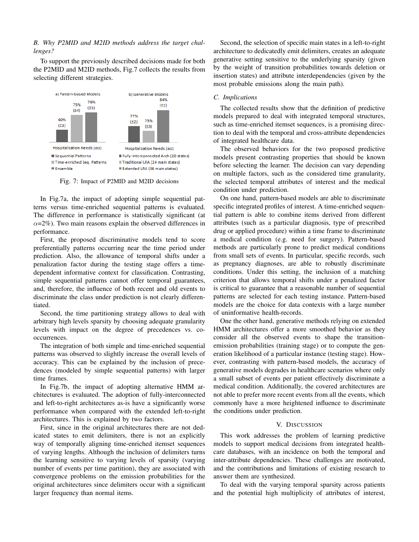*B. Why P2MID and M2ID methods address the target challenges?*

To support the previously described decisions made for both the P2MID and M2ID methods, Fig.7 collects the results from selecting different strategies.



Fig. 7: Impact of P2MID and M2ID decisions

In Fig.7a, the impact of adopting simple sequential patterns versus time-enriched sequential patterns is evaluated. The difference in performance is statistically significant (at  $\alpha$ =2%). Two main reasons explain the observed differences in performance.

First, the proposed discriminative models tend to score preferentially patterns occurring near the time period under prediction. Also, the allowance of temporal shifts under a penalization factor during the testing stage offers a timedependent informative context for classification. Contrasting, simple sequential patterns cannot offer temporal guarantees, and, therefore, the influence of both recent and old events to discriminate the class under prediction is not clearly differentiated.

Second, the time partitioning strategy allows to deal with arbitrary high levels sparsity by choosing adequate granularity levels with impact on the degree of precedences vs. cooccurrences.

The integration of both simple and time-enriched sequential patterns was observed to slightly increase the overall levels of accuracy. This can be explained by the inclusion of precedences (modeled by simple sequential patterns) with larger time frames.

In Fig.7b, the impact of adopting alternative HMM architectures is evaluated. The adoption of fully-interconnected and left-to-right architectures as-is have a significantly worse performance when compared with the extended left-to-right architectures. This is explained by two factors.

First, since in the original architectures there are not dedicated states to emit delimiters, there is not an explicitly way of temporally aligning time-enriched itemset sequences of varying lengths. Although the inclusion of delimiters turns the learning sensitive to varying levels of sparsity (varying number of events per time partition), they are associated with convergence problems on the emission probabilities for the original architectures since delimiters occur with a significant larger frequency than normal items.

Second, the selection of specific main states in a left-to-right architecture to dedicatedly emit delimiters, creates an adequate generative setting sensitive to the underlying sparsity (given by the weight of transition probabilities towards deletion or insertion states) and attribute interdependencies (given by the most probable emissions along the main path).

# *C. Implications*

The collected results show that the definition of predictive models prepared to deal with integrated temporal structures, such as time-enriched itemset sequences, is a promising direction to deal with the temporal and cross-attribute dependencies of integrated healthcare data.

The observed behaviors for the two proposed predictive models present contrasting properties that should be known before selecting the learner. The decision can vary depending on multiple factors, such as the considered time granularity, the selected temporal attributes of interest and the medical condition under prediction.

On one hand, pattern-based models are able to discriminate specific integrated profiles of interest. A time-enriched sequential pattern is able to combine items derived from different attributes (such as a particular diagnosis, type of prescribed drug or applied procedure) within a time frame to discriminate a medical condition (e.g. need for surgery). Pattern-based methods are particularly prone to predict medical conditions from small sets of events. In particular, specific records, such as pregnancy diagnoses, are able to robustly discriminate conditions. Under this setting, the inclusion of a matching criterion that allows temporal shifts under a penalized factor is critical to guarantee that a reasonable number of sequential patterns are selected for each testing instance. Pattern-based models are the choice for data contexts with a large number of uninformative health-records.

One the other hand, generative methods relying on extended HMM architectures offer a more smoothed behavior as they consider all the observed events to shape the transitionemission probabilities (training stage) or to compute the generation likelihood of a particular instance (testing stage). However, contrasting with pattern-based models, the accuracy of generative models degrades in healthcare scenarios where only a small subset of events per patient effectively discriminate a medical condition. Additionally, the covered architectures are not able to prefer more recent events from all the events, which commonly have a more heightened influence to discriminate the conditions under prediction.

# V. DISCUSSION

This work addresses the problem of learning predictive models to support medical decisions from integrated healthcare databases, with an incidence on both the temporal and inter-attribute dependencies. These challenges are motivated, and the contributions and limitations of existing research to answer them are synthesized.

To deal with the varying temporal sparsity across patients and the potential high multiplicity of attributes of interest,